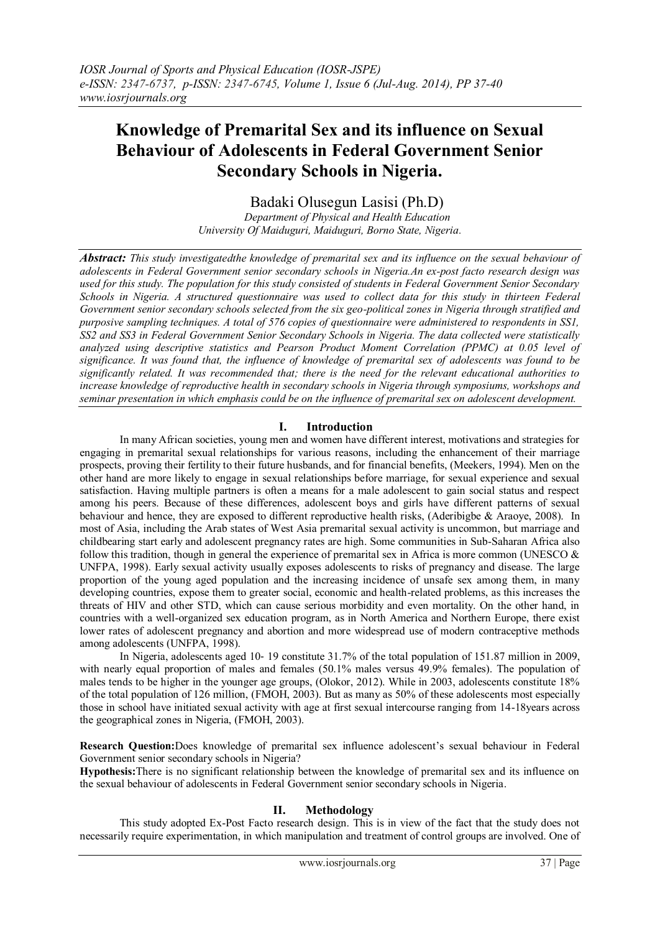# **Knowledge of Premarital Sex and its influence on Sexual Behaviour of Adolescents in Federal Government Senior Secondary Schools in Nigeria.**

## Badaki Olusegun Lasisi (Ph.D)

*Department of Physical and Health Education University Of Maiduguri, Maiduguri, Borno State, Nigeria.*

*Abstract: This study investigatedthe knowledge of premarital sex and its influence on the sexual behaviour of adolescents in Federal Government senior secondary schools in Nigeria.An ex-post facto research design was used for this study. The population for this study consisted of students in Federal Government Senior Secondary Schools in Nigeria. A structured questionnaire was used to collect data for this study in thirteen Federal Government senior secondary schools selected from the six geo-political zones in Nigeria through stratified and purposive sampling techniques. A total of 576 copies of questionnaire were administered to respondents in SS1, SS2 and SS3 in Federal Government Senior Secondary Schools in Nigeria. The data collected were statistically analyzed using descriptive statistics and Pearson Product Moment Correlation (PPMC) at 0.05 level of significance. It was found that, the influence of knowledge of premarital sex of adolescents was found to be significantly related. It was recommended that; there is the need for the relevant educational authorities to increase knowledge of reproductive health in secondary schools in Nigeria through symposiums, workshops and seminar presentation in which emphasis could be on the influence of premarital sex on adolescent development.*

## **I. Introduction**

In many African societies, young men and women have different interest, motivations and strategies for engaging in premarital sexual relationships for various reasons, including the enhancement of their marriage prospects, proving their fertility to their future husbands, and for financial benefits, (Meekers, 1994). Men on the other hand are more likely to engage in sexual relationships before marriage, for sexual experience and sexual satisfaction. Having multiple partners is often a means for a male adolescent to gain social status and respect among his peers. Because of these differences, adolescent boys and girls have different patterns of sexual behaviour and hence, they are exposed to different reproductive health risks, (Aderibigbe & Araoye, 2008). In most of Asia, including the Arab states of West Asia premarital sexual activity is uncommon, but marriage and childbearing start early and adolescent pregnancy rates are high. Some communities in Sub-Saharan Africa also follow this tradition, though in general the experience of premarital sex in Africa is more common (UNESCO  $\&$ UNFPA, 1998). Early sexual activity usually exposes adolescents to risks of pregnancy and disease. The large proportion of the young aged population and the increasing incidence of unsafe sex among them, in many developing countries, expose them to greater social, economic and health-related problems, as this increases the threats of HIV and other STD, which can cause serious morbidity and even mortality. On the other hand, in countries with a well-organized sex education program, as in North America and Northern Europe, there exist lower rates of adolescent pregnancy and abortion and more widespread use of modern contraceptive methods among adolescents (UNFPA, 1998).

In Nigeria, adolescents aged 10‐ 19 constitute 31.7% of the total population of 151.87 million in 2009, with nearly equal proportion of males and females (50.1% males versus 49.9% females). The population of males tends to be higher in the younger age groups, (Olokor, 2012). While in 2003, adolescents constitute 18% of the total population of 126 million, (FMOH, 2003). But as many as 50% of these adolescents most especially those in school have initiated sexual activity with age at first sexual intercourse ranging from 14-18years across the geographical zones in Nigeria, (FMOH, 2003).

**Research Question:**Does knowledge of premarital sex influence adolescent's sexual behaviour in Federal Government senior secondary schools in Nigeria?

**Hypothesis:**There is no significant relationship between the knowledge of premarital sex and its influence on the sexual behaviour of adolescents in Federal Government senior secondary schools in Nigeria.

## **II. Methodology**

This study adopted Ex-Post Facto research design. This is in view of the fact that the study does not necessarily require experimentation, in which manipulation and treatment of control groups are involved. One of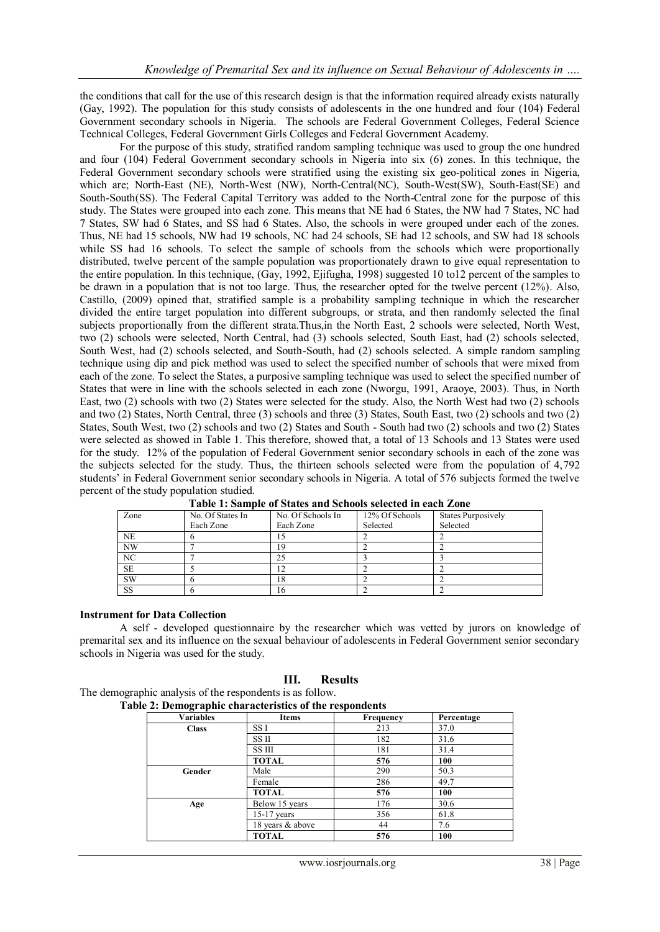the conditions that call for the use of this research design is that the information required already exists naturally (Gay, 1992). The population for this study consists of adolescents in the one hundred and four (104) Federal Government secondary schools in Nigeria. The schools are Federal Government Colleges, Federal Science Technical Colleges, Federal Government Girls Colleges and Federal Government Academy.

For the purpose of this study, stratified random sampling technique was used to group the one hundred and four (104) Federal Government secondary schools in Nigeria into six (6) zones. In this technique, the Federal Government secondary schools were stratified using the existing six geo-political zones in Nigeria, which are; North-East (NE), North-West (NW), North-Central(NC), South-West(SW), South-East(SE) and South-South(SS). The Federal Capital Territory was added to the North-Central zone for the purpose of this study. The States were grouped into each zone. This means that NE had 6 States, the NW had 7 States, NC had 7 States, SW had 6 States, and SS had 6 States. Also, the schools in were grouped under each of the zones. Thus, NE had 15 schools, NW had 19 schools, NC had 24 schools, SE had 12 schools, and SW had 18 schools while SS had 16 schools. To select the sample of schools from the schools which were proportionally distributed, twelve percent of the sample population was proportionately drawn to give equal representation to the entire population. In this technique, (Gay, 1992, Ejifugha, 1998) suggested 10 to12 percent of the samples to be drawn in a population that is not too large. Thus, the researcher opted for the twelve percent (12%). Also, Castillo, (2009) opined that, stratified sample is a probability sampling technique in which the researcher divided the entire target population into different subgroups, or strata, and then randomly selected the final subjects proportionally from the different strata.Thus,in the North East, 2 schools were selected, North West, two (2) schools were selected, North Central, had (3) schools selected, South East, had (2) schools selected, South West, had (2) schools selected, and South-South, had (2) schools selected. A simple random sampling technique using dip and pick method was used to select the specified number of schools that were mixed from each of the zone. To select the States, a purposive sampling technique was used to select the specified number of States that were in line with the schools selected in each zone (Nworgu, 1991, Araoye, 2003). Thus, in North East, two (2) schools with two (2) States were selected for the study. Also, the North West had two (2) schools and two (2) States, North Central, three (3) schools and three (3) States, South East, two (2) schools and two (2) States, South West, two (2) schools and two (2) States and South - South had two (2) schools and two (2) States were selected as showed in Table 1. This therefore, showed that, a total of 13 Schools and 13 States were used for the study. 12% of the population of Federal Government senior secondary schools in each of the zone was the subjects selected for the study. Thus, the thirteen schools selected were from the population of 4,792 students' in Federal Government senior secondary schools in Nigeria. A total of 576 subjects formed the twelve percent of the study population studied.

| Zone      | No. Of States In | No. Of Schools In | 12% Of Schools | <b>States Purposively</b> |
|-----------|------------------|-------------------|----------------|---------------------------|
|           | Each Zone        | Each Zone         | Selected       | Selected                  |
| <b>NE</b> |                  |                   |                |                           |
| NW        |                  |                   |                |                           |
| NC        |                  |                   |                |                           |
| <b>SE</b> |                  |                   |                |                           |
| SW        |                  | 18                |                |                           |
| SS        |                  |                   |                |                           |

| Table 1: Sample of States and Schools selected in each Zone |  |  |
|-------------------------------------------------------------|--|--|
|-------------------------------------------------------------|--|--|

#### **Instrument for Data Collection**

A self - developed questionnaire by the researcher which was vetted by jurors on knowledge of premarital sex and its influence on the sexual behaviour of adolescents in Federal Government senior secondary schools in Nigeria was used for the study.

#### **III. Results**

The demographic analysis of the respondents is as follow. **Table 2: Demographic characteristics of the respondents**

| <b>Variables</b> | <b>Items</b>     | Frequency | Percentage |
|------------------|------------------|-----------|------------|
| <b>Class</b>     | SS I             | 213       | 37.0       |
|                  | SS II            | 182       | 31.6       |
|                  | SS III           | 181       | 31.4       |
|                  | <b>TOTAL</b>     | 576       | 100        |
| Gender           | Male             | 290       | 50.3       |
|                  | Female           | 286       | 49.7       |
|                  | <b>TOTAL</b>     | 576       | 100        |
| Age              | Below 15 years   | 176       | 30.6       |
|                  | $15-17$ years    | 356       | 61.8       |
|                  | 18 years & above | 44        | 7.6        |
|                  | <b>TOTAL</b>     | 576       | 100        |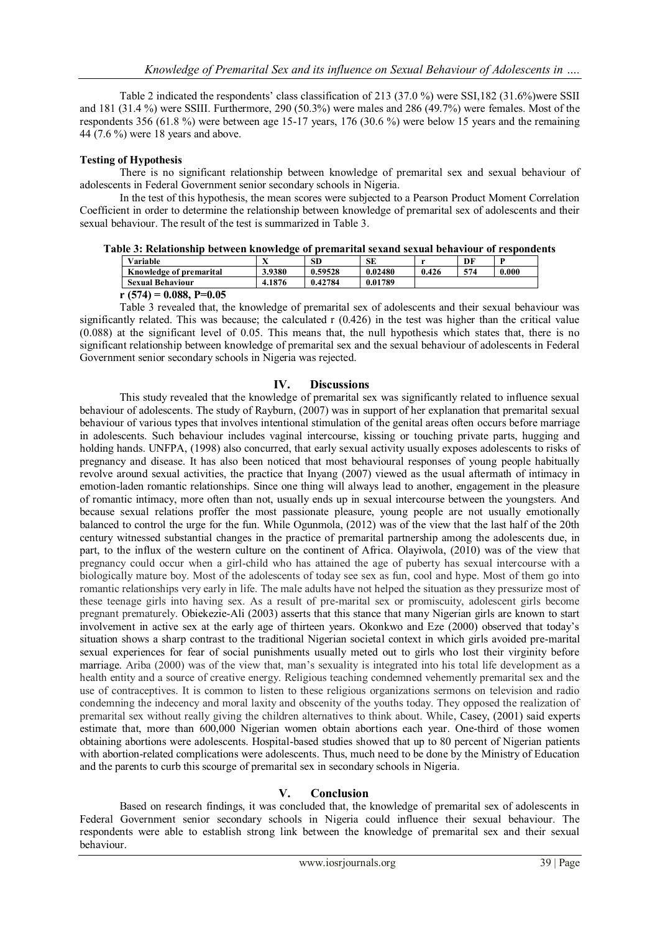Table 2 indicated the respondents' class classification of 213 (37.0 %) were SSI,182 (31.6%)were SSII and 181 (31.4 %) were SSIII. Furthermore, 290 (50.3%) were males and 286 (49.7%) were females. Most of the respondents 356 (61.8 %) were between age 15-17 years, 176 (30.6 %) were below 15 years and the remaining 44 (7.6 %) were 18 years and above.

#### **Testing of Hypothesis**

There is no significant relationship between knowledge of premarital sex and sexual behaviour of adolescents in Federal Government senior secondary schools in Nigeria.

In the test of this hypothesis, the mean scores were subjected to a Pearson Product Moment Correlation Coefficient in order to determine the relationship between knowledge of premarital sex of adolescents and their sexual behaviour. The result of the test is summarized in Table 3.

| Table 3: Relationship between knowledge of premarital sexand sexual behaviour of respondents |  |  |  |
|----------------------------------------------------------------------------------------------|--|--|--|

| Variable                            | $\sim$ $\sim$<br>$\Lambda$ | <b>SD</b> | SЕ      |       | DF  | D     |
|-------------------------------------|----------------------------|-----------|---------|-------|-----|-------|
| Knowledge of premarital             | 3.9380                     | 0.59528   | 0.02480 | 0.426 | 574 | 0.000 |
| <b>Sexual Behaviour</b>             | 4.1876                     | 0.42784   | 0.01789 |       |     |       |
| $(574) - 0.000$<br>$D_{0}$ $\alpha$ |                            |           |         |       |     |       |

**r (574) = 0.088, P=0.05**

Table 3 revealed that, the knowledge of premarital sex of adolescents and their sexual behaviour was significantly related. This was because; the calculated r (0.426) in the test was higher than the critical value (0.088) at the significant level of 0.05. This means that, the null hypothesis which states that, there is no significant relationship between knowledge of premarital sex and the sexual behaviour of adolescents in Federal Government senior secondary schools in Nigeria was rejected.

## **IV. Discussions**

This study revealed that the knowledge of premarital sex was significantly related to influence sexual behaviour of adolescents. The study of Rayburn, (2007) was in support of her explanation that premarital sexual behaviour of various types that involves intentional stimulation of the genital areas often occurs before marriage in adolescents. Such behaviour includes vaginal intercourse, kissing or touching private parts, hugging and holding hands. UNFPA, (1998) also concurred, that early sexual activity usually exposes adolescents to risks of pregnancy and disease. It has also been noticed that most behavioural responses of young people habitually revolve around sexual activities, the practice that Inyang (2007) viewed as the usual aftermath of intimacy in emotion-laden romantic relationships. Since one thing will always lead to another, engagement in the pleasure of romantic intimacy, more often than not, usually ends up in sexual intercourse between the youngsters. And because sexual relations proffer the most passionate pleasure, young people are not usually emotionally balanced to control the urge for the fun. While Ogunmola, (2012) was of the view that the last half of the 20th century witnessed substantial changes in the practice of premarital partnership among the adolescents due, in part, to the influx of the western culture on the continent of Africa. Olayiwola, (2010) was of the view that pregnancy could occur when a girl-child who has attained the age of puberty has sexual intercourse with a biologically mature boy. Most of the adolescents of today see sex as fun, cool and hype. Most of them go into romantic relationships very early in life. The male adults have not helped the situation as they pressurize most of these teenage girls into having sex. As a result of pre-marital sex or promiscuity, adolescent girls become pregnant prematurely. Obiekezie-Ali (2003) asserts that this stance that many Nigerian girls are known to start involvement in active sex at the early age of thirteen years. Okonkwo and Eze (2000) observed that today's situation shows a sharp contrast to the traditional Nigerian societal context in which girls avoided pre-marital sexual experiences for fear of social punishments usually meted out to girls who lost their virginity before marriage. Ariba (2000) was of the view that, man's sexuality is integrated into his total life development as a health entity and a source of creative energy. Religious teaching condemned vehemently premarital sex and the use of contraceptives. It is common to listen to these religious organizations sermons on television and radio condemning the indecency and moral laxity and obscenity of the youths today. They opposed the realization of premarital sex without really giving the children alternatives to think about. While, Casey, (2001) said experts estimate that, more than 600,000 Nigerian women obtain abortions each year. One-third of those women obtaining abortions were adolescents. Hospital-based studies showed that up to 80 percent of Nigerian patients with abortion-related complications were adolescents. Thus, much need to be done by the Ministry of Education and the parents to curb this scourge of premarital sex in secondary schools in Nigeria.

#### **V. Conclusion**

Based on research findings, it was concluded that, the knowledge of premarital sex of adolescents in Federal Government senior secondary schools in Nigeria could influence their sexual behaviour. The respondents were able to establish strong link between the knowledge of premarital sex and their sexual behaviour.